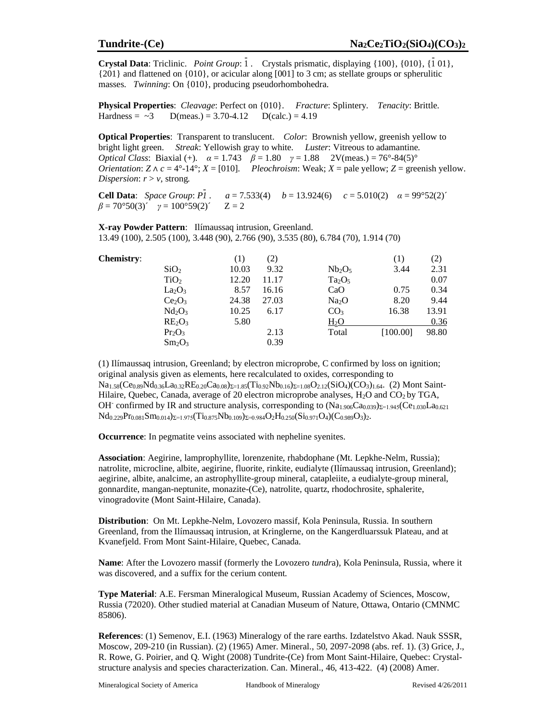**Crystal Data**: Triclinic. *Point Group*: 1. Crystals prismatic, displaying {100}, {010}, {1 01}, {201} and flattened on {010}, or acicular along [001] to 3 cm; as stellate groups or spherulitic masses. *Twinning*: On {010}, producing pseudorhombohedra.

**Physical Properties**: *Cleavage*: Perfect on {010}. *Fracture*: Splintery. *Tenacity*: Brittle. Hardness =  $\sim$ 3 D(meas.) = 3.70-4.12 D(calc.) = 4.19

**Optical Properties**: Transparent to translucent. *Color*: Brownish yellow, greenish yellow to bright light green. *Streak*: Yellowish gray to white. *Luster*: Vitreous to adamantine*. Optical Class*: Biaxial (+).  $\alpha = 1.743$   $\beta = 1.80$   $\gamma = 1.88$  2V(meas.) = 76°-84(5)° *Orientation*:  $Z \wedge c = 4^{\circ} \cdot 14^{\circ}$ ;  $X = [010]$ . *Pleochroism*: Weak;  $X =$  pale yellow;  $Z =$  greenish yellow. *Dispersion*:  $r > v$ , strong.

**Cell Data**: *Space Group*: *P1 -* . *a* = 7.533(4) *b* = 13.924(6) *c* = 5.010(2) *α* = 99°52(2)´  $\beta = 70^{\circ}50(3)'$   $\gamma = 100^{\circ}59(2)'$   $Z = 2$ 

**X-ray Powder Pattern**: Ilímaussaq intrusion, Greenland. 13.49 (100), 2.505 (100), 3.448 (90), 2.766 (90), 3.535 (80), 6.784 (70), 1.914 (70)

| <b>Chemistry:</b> |                                | (1)   | (2)   |                   | $\left(1\right)$ | (2)   |
|-------------------|--------------------------------|-------|-------|-------------------|------------------|-------|
|                   | SiO <sub>2</sub>               | 10.03 | 9.32  | $Nb_2O_5$         | 3.44             | 2.31  |
|                   | TiO <sub>2</sub>               | 12.20 | 11.17 | $Ta_2O_5$         |                  | 0.07  |
|                   | La <sub>2</sub> O <sub>3</sub> | 8.57  | 16.16 | CaO               | 0.75             | 0.34  |
|                   | Ce <sub>2</sub> O <sub>3</sub> | 24.38 | 27.03 | Na <sub>2</sub> O | 8.20             | 9.44  |
|                   | Nd <sub>2</sub> O <sub>3</sub> | 10.25 | 6.17  | CO <sub>3</sub>   | 16.38            | 13.91 |
|                   | RE <sub>2</sub> O <sub>3</sub> | 5.80  |       | $H_2O$            |                  | 0.36  |
|                   | Pr <sub>2</sub> O <sub>3</sub> |       | 2.13  | Total             | [100.00]         | 98.80 |
|                   | $Sm_2O_3$                      |       | 0.39  |                   |                  |       |

(1) Ilímaussaq intrusion, Greenland; by electron microprobe, C confirmed by loss on ignition; original analysis given as elements, here recalculated to oxides, corresponding to  $Na<sub>1.58</sub>(Ce<sub>0.89</sub>Nd<sub>0.36</sub>La<sub>0.32</sub>RE<sub>0.20</sub>Ca<sub>0.08</sub>)<sub>\Sigma=1.85</sub>(Ti<sub>0.92</sub>Nb<sub>0.16</sub>)<sub>\Sigma=1.08</sub>O<sub>2.12</sub>(SiO<sub>4</sub>)(CO<sub>3</sub>)<sub>1.64</sub>. (2) Mont Saint-$ Hilaire, Quebec, Canada, average of 20 electron microprobe analyses,  $H_2O$  and  $CO_2$  by TGA, OH<sup>-</sup> confirmed by IR and structure analysis, corresponding to  $(Na_{1.906}Ca_{0.039})_{\Sigma=1.945}(Ce_{1.030}La_{0.621})$  $Nd_{0.229}Pr_{0.081}Sm_{0.014} \Sigma=1.975(Ti_{0.875}Nb_{0.109})\Sigma=0.984O_2H_{0.250}(Si_{0.971}O_4)(C_{0.989}O_3)_{2}.$ 

**Occurrence**: In pegmatite veins associated with nepheline syenites.

**Association**: Aegirine, lamprophyllite, lorenzenite, rhabdophane (Mt. Lepkhe-Nelm, Russia); natrolite, microcline, albite, aegirine, fluorite, rinkite, eudialyte (Ilímaussaq intrusion, Greenland); aegirine, albite, analcime, an astrophyllite-group mineral, catapleiite, a eudialyte-group mineral, gonnardite, mangan-neptunite, monazite-(Ce), natrolite, quartz, rhodochrosite, sphalerite, vinogradovite (Mont Saint-Hilaire, Canada).

**Distribution**: On Mt. Lepkhe-Nelm, Lovozero massif, Kola Peninsula, Russia. In southern Greenland, from the Ilímaussaq intrusion, at Kringlerne, on the Kangerdluarssuk Plateau, and at Kvanefjeld. From Mont Saint-Hilaire, Quebec, Canada.

**Name**: After the Lovozero massif (formerly the Lovozero *tundr*a), Kola Peninsula, Russia, where it was discovered, and a suffix for the cerium content.

**Type Material**: A.E. Fersman Mineralogical Museum, Russian Academy of Sciences, Moscow, Russia (72020). Other studied material at Canadian Museum of Nature, Ottawa, Ontario (CMNMC 85806).

**References**: (1) Semenov, E.I. (1963) Mineralogy of the rare earths. Izdatelstvo Akad. Nauk SSSR, Moscow, 209-210 (in Russian). (2) (1965) Amer. Mineral., 50, 2097-2098 (abs. ref. 1). (3) Grice, J., R. Rowe, G. Poirier, and Q. Wight (2008) Tundrite-(Ce) from Mont Saint-Hilaire, Quebec: Crystalstructure analysis and species characterization. Can. Mineral., 46, 413-422. (4) (2008) Amer.